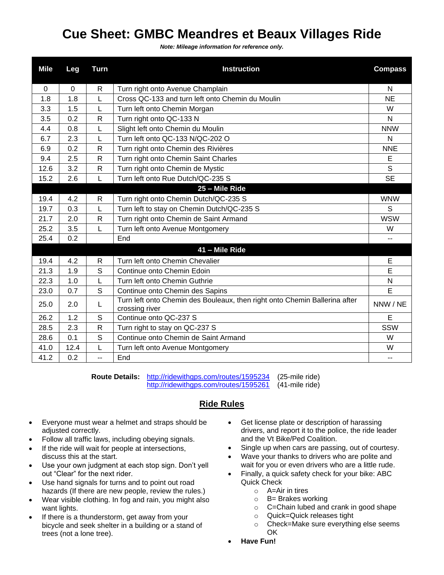## **Cue Sheet: GMBC Meandres et Beaux Villages Ride**

*Note: Mileage information for reference only.*

| <b>Mile</b> | Leg         | <b>Turn</b>  | <b>Instruction</b>                                                                           | <b>Compass</b> |
|-------------|-------------|--------------|----------------------------------------------------------------------------------------------|----------------|
| $\mathbf 0$ | $\mathbf 0$ | $\mathsf{R}$ | Turn right onto Avenue Champlain                                                             | N              |
| 1.8         | 1.8         | L            | Cross QC-133 and turn left onto Chemin du Moulin                                             | <b>NE</b>      |
| 3.3         | 1.5         | L            | Turn left onto Chemin Morgan                                                                 | W              |
| 3.5         | 0.2         | $\mathsf{R}$ | Turn right onto QC-133 N                                                                     | N              |
| 4.4         | 0.8         | L            | Slight left onto Chemin du Moulin                                                            | <b>NNW</b>     |
| 6.7         | 2.3         | L            | Turn left onto QC-133 N/QC-202 O                                                             | N              |
| 6.9         | 0.2         | $\mathsf{R}$ | Turn right onto Chemin des Rivières                                                          | <b>NNE</b>     |
| 9.4         | 2.5         | $\mathsf{R}$ | Turn right onto Chemin Saint Charles                                                         | E              |
| 12.6        | 3.2         | R            | Turn right onto Chemin de Mystic                                                             | S              |
| 15.2        | 2.6         | L            | Turn left onto Rue Dutch/QC-235 S                                                            | <b>SE</b>      |
|             |             |              | 25 - Mile Ride                                                                               |                |
| 19.4        | 4.2         | $\mathsf{R}$ | Turn right onto Chemin Dutch/QC-235 S                                                        | <b>WNW</b>     |
| 19.7        | 0.3         | L            | Turn left to stay on Chemin Dutch/QC-235 S                                                   | S              |
| 21.7        | 2.0         | R            | Turn right onto Chemin de Saint Armand                                                       | <b>WSW</b>     |
| 25.2        | 3.5         | L            | Turn left onto Avenue Montgomery                                                             | W              |
| 25.4        | 0.2         |              | End                                                                                          | --             |
|             |             |              | 41 - Mile Ride                                                                               |                |
| 19.4        | 4.2         | $\mathsf{R}$ | Turn left onto Chemin Chevalier                                                              | E              |
| 21.3        | 1.9         | S            | Continue onto Chemin Edoin                                                                   | E              |
| 22.3        | 1.0         | L            | Turn left onto Chemin Guthrie                                                                | N              |
| 23.0        | 0.7         | S            | Continue onto Chemin des Sapins                                                              | E              |
| 25.0        | 2.0         | L            | Turn left onto Chemin des Bouleaux, then right onto Chemin Ballerina after<br>crossing river | NNW / NE       |
| 26.2        | 1.2         | S            | Continue onto QC-237 S                                                                       | E              |
| 28.5        | 2.3         | R            | Turn right to stay on QC-237 S                                                               | SSW            |
| 28.6        | 0.1         | S            | Continue onto Chemin de Saint Armand                                                         | W              |
| 41.0        | 12.4        | L            | Turn left onto Avenue Montgomery                                                             | W              |
| 41.2        | 0.2         | -−           | End                                                                                          | $-$            |

**Route Details:** <http://ridewithgps.com/routes/1595234> (25-mile ride) <http://ridewithgps.com/routes/1595261> (41-mile ride)

## **Ride Rules**

- Everyone must wear a helmet and straps should be adjusted correctly.
- Follow all traffic laws, including obeying signals.
- If the ride will wait for people at intersections, discuss this at the start.
- Use your own judgment at each stop sign. Don't yell out "Clear" for the next rider.
- Use hand signals for turns and to point out road hazards (If there are new people, review the rules.)
- Wear visible clothing. In fog and rain, you might also want lights.
- If there is a thunderstorm, get away from your bicycle and seek shelter in a building or a stand of trees (not a lone tree).
- Get license plate or description of harassing drivers, and report it to the police, the ride leader and the Vt Bike/Ped Coalition.
- Single up when cars are passing, out of courtesy.
- Wave your thanks to drivers who are polite and wait for you or even drivers who are a little rude.
- Finally, a quick safety check for your bike: ABC Quick Check
	- $\circ$  A=Air in tires
	- $o$  B= Brakes working
	- o C=Chain lubed and crank in good shape
	- o Quick=Quick releases tight
	- o Check=Make sure everything else seems OK
- **Have Fun!**